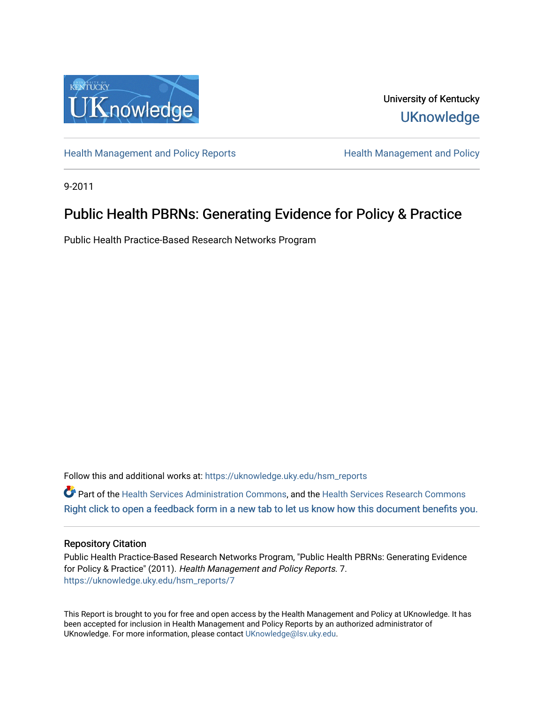

University of Kentucky **UKnowledge** 

[Health Management and Policy Reports](https://uknowledge.uky.edu/hsm_reports) **Health Management and Policy Health Management and Policy** 

9-2011

# Public Health PBRNs: Generating Evidence for Policy & Practice

Public Health Practice-Based Research Networks Program

Follow this and additional works at: [https://uknowledge.uky.edu/hsm\\_reports](https://uknowledge.uky.edu/hsm_reports?utm_source=uknowledge.uky.edu%2Fhsm_reports%2F7&utm_medium=PDF&utm_campaign=PDFCoverPages)

Part of the [Health Services Administration Commons,](http://network.bepress.com/hgg/discipline/747?utm_source=uknowledge.uky.edu%2Fhsm_reports%2F7&utm_medium=PDF&utm_campaign=PDFCoverPages) and the [Health Services Research Commons](http://network.bepress.com/hgg/discipline/816?utm_source=uknowledge.uky.edu%2Fhsm_reports%2F7&utm_medium=PDF&utm_campaign=PDFCoverPages) [Right click to open a feedback form in a new tab to let us know how this document benefits you.](https://uky.az1.qualtrics.com/jfe/form/SV_9mq8fx2GnONRfz7)

## Repository Citation

Public Health Practice-Based Research Networks Program, "Public Health PBRNs: Generating Evidence for Policy & Practice" (2011). Health Management and Policy Reports. 7. [https://uknowledge.uky.edu/hsm\\_reports/7](https://uknowledge.uky.edu/hsm_reports/7?utm_source=uknowledge.uky.edu%2Fhsm_reports%2F7&utm_medium=PDF&utm_campaign=PDFCoverPages)

This Report is brought to you for free and open access by the Health Management and Policy at UKnowledge. It has been accepted for inclusion in Health Management and Policy Reports by an authorized administrator of UKnowledge. For more information, please contact [UKnowledge@lsv.uky.edu](mailto:UKnowledge@lsv.uky.edu).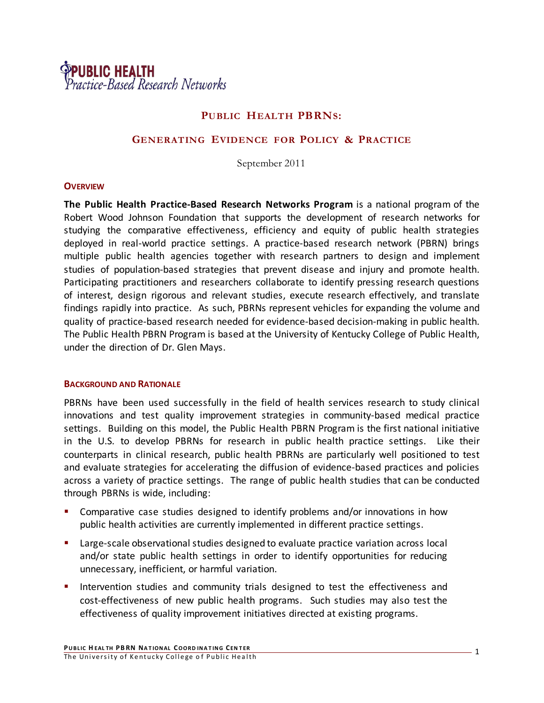

# **PUBLIC HEALTH PBRNS:**

## **GENERATING EVIDENCE FOR POLICY & PRACTICE**

September 2011

#### **OVERVIEW**

**The Public Health Practice-Based Research Networks Program** is a national program of the Robert Wood Johnson Foundation that supports the development of research networks for studying the comparative effectiveness, efficiency and equity of public health strategies deployed in real-world practice settings. A practice-based research network (PBRN) brings multiple public health agencies together with research partners to design and implement studies of population-based strategies that prevent disease and injury and promote health. Participating practitioners and researchers collaborate to identify pressing research questions of interest, design rigorous and relevant studies, execute research effectively, and translate findings rapidly into practice. As such, PBRNs represent vehicles for expanding the volume and quality of practice-based research needed for evidence-based decision-making in public health. The Public Health PBRN Program is based at the University of Kentucky College of Public Health, under the direction of Dr. Glen Mays.

## **BACKGROUND AND RATIONALE**

PBRNs have been used successfully in the field of health services research to study clinical innovations and test quality improvement strategies in community-based medical practice settings. Building on this model, the Public Health PBRN Program is the first national initiative in the U.S. to develop PBRNs for research in public health practice settings. Like their counterparts in clinical research, public health PBRNs are particularly well positioned to test and evaluate strategies for accelerating the diffusion of evidence-based practices and policies across a variety of practice settings. The range of public health studies that can be conducted through PBRNs is wide, including:

- Comparative case studies designed to identify problems and/or innovations in how public health activities are currently implemented in different practice settings.
- Large-scale observational studies designed to evaluate practice variation across local and/or state public health settings in order to identify opportunities for reducing unnecessary, inefficient, or harmful variation.
- Intervention studies and community trials designed to test the effectiveness and cost-effectiveness of new public health programs. Such studies may also test the effectiveness of quality improvement initiatives directed at existing programs.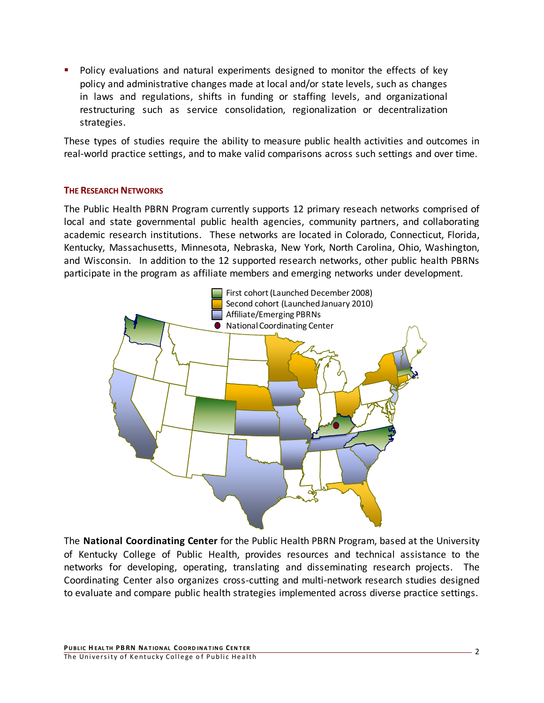**Policy evaluations and natural experiments designed to monitor the effects of key** policy and administrative changes made at local and/or state levels, such as changes in laws and regulations, shifts in funding or staffing levels, and organizational restructuring such as service consolidation, regionalization or decentralization strategies.

These types of studies require the ability to measure public health activities and outcomes in real-world practice settings, and to make valid comparisons across such settings and over time.

# **THE RESEARCH NETWORKS**

The Public Health PBRN Program currently supports 12 primary reseach networks comprised of local and state governmental public health agencies, community partners, and collaborating academic research institutions. These networks are located in Colorado, Connecticut, Florida, Kentucky, Massachusetts, Minnesota, Nebraska, New York, North Carolina, Ohio, Washington, and Wisconsin. In addition to the 12 supported research networks, other public health PBRNs participate in the program as affiliate members and emerging networks under development.



The **National Coordinating Center** for the Public Health PBRN Program, based at the University of Kentucky College of Public Health, provides resources and technical assistance to the networks for developing, operating, translating and disseminating research projects. The Coordinating Center also organizes cross-cutting and multi-network research studies designed to evaluate and compare public health strategies implemented across diverse practice settings.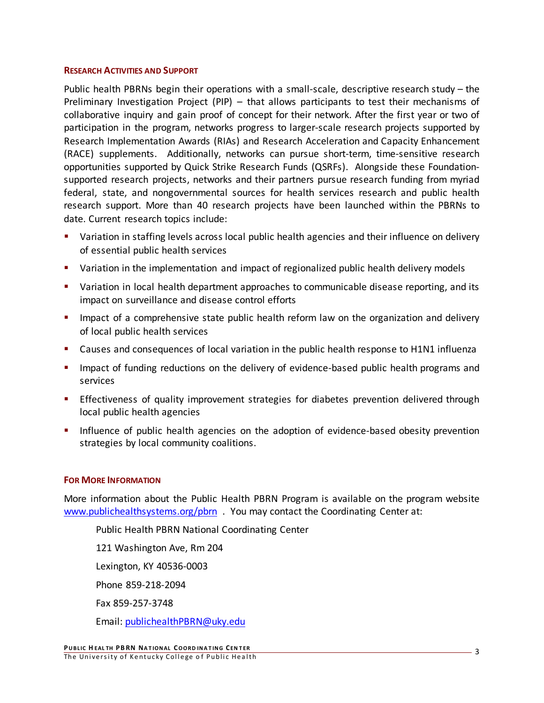## **RESEARCH ACTIVITIES AND SUPPORT**

Public health PBRNs begin their operations with a small-scale, descriptive research study – the Preliminary Investigation Project (PIP) – that allows participants to test their mechanisms of collaborative inquiry and gain proof of concept for their network. After the first year or two of participation in the program, networks progress to larger-scale research projects supported by Research Implementation Awards (RIAs) and Research Acceleration and Capacity Enhancement (RACE) supplements. Additionally, networks can pursue short-term, time-sensitive research opportunities supported by Quick Strike Research Funds (QSRFs). Alongside these Foundationsupported research projects, networks and their partners pursue research funding from myriad federal, state, and nongovernmental sources for health services research and public health research support. More than 40 research projects have been launched within the PBRNs to date. Current research topics include:

- Variation in staffing levels across local public health agencies and their influence on delivery of essential public health services
- **•** Variation in the implementation and impact of regionalized public health delivery models
- Variation in local health department approaches to communicable disease reporting, and its impact on surveillance and disease control efforts
- Impact of a comprehensive state public health reform law on the organization and delivery of local public health services
- Causes and consequences of local variation in the public health response to H1N1 influenza
- **Impact of funding reductions on the delivery of evidence-based public health programs and** services
- **Effectiveness of quality improvement strategies for diabetes prevention delivered through** local public health agencies
- Influence of public health agencies on the adoption of evidence-based obesity prevention strategies by local community coalitions.

# **FOR MORE INFORMATION**

More information about the Public Health PBRN Program is available on the program website [www.publichealthsystems.org/pbrn](http://www.publichealthsystems.org/pbrn) . You may contact the Coordinating Center at:

Public Health PBRN National Coordinating Center 121 Washington Ave, Rm 204 Lexington, KY 40536-0003 Phone 859-218-2094 Fax 859-257-3748 Email[: publichealthPBRN@uky.edu](mailto:publichealthPBRN@uky.edu)